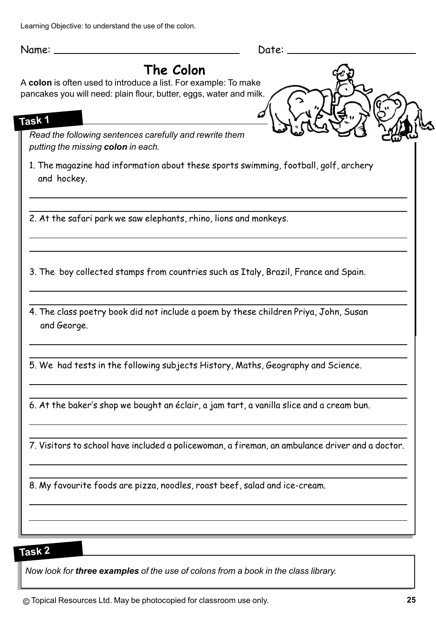Learning Objective: to understand the use of the colon.

Name: Date:

## **The Colon**

A **colon** is often used to introduce a list. For example: To make pancakes you will need: plain flour, butter, eggs, water and milk.

### **Task 1**

*instruction Read the following sentences carefully and rewrite them putting the missing colon in each.*

example 1. The magazine had information about these sports swimming, football, golf, archery and hockey.

2. At the safari park we saw elephants, rhino, lions and monkeys.

3. The boy collected stamps from countries such as Italy, Brazil, France and Spain.

4. The class poetry book did not include a poem by these children Priya, John, Susan and George.

5. We had tests in the following subjects History, Maths, Geography and Science.

6. At the baker's shop we bought an éclair, a jam tart, a vanilla slice and a cream bun.

7. Visitors to school have included a policewoman, a fireman, an ambulance driver and a doctor.

8. My favourite foods are pizza, noodles, roast beef, salad and ice-cream.

### **Task 2**

*Now look for three examples of the use of colons from a book in the class library.*

© Topical Resources Ltd. May be photocopied for classroom use only. **25**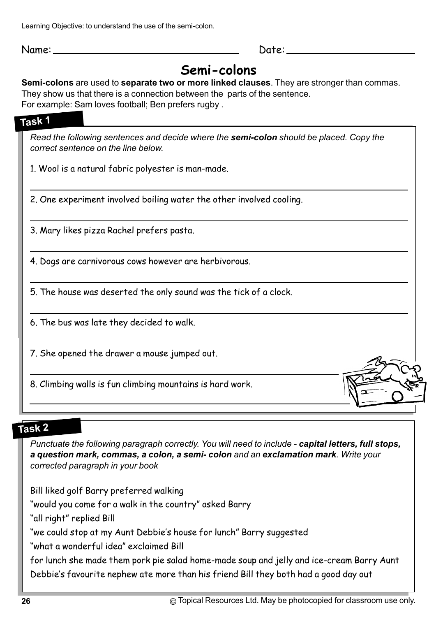Learning Objective: to understand the use of the semi-colon.

Name: Date:

# **Semi-colons**

#### **Semi-colons** are used to **separate two or more linked clauses**. They are stronger than commas.

They show us that there is a connection between the parts of the sentence.

For example: Sam loves football; Ben prefers rugby .

### **Task 1**

*Read the following sentences and decide where the semi-colon should be placed. Copy the correct sentence on the line below.*

1. Wool is a natural fabric polyester is man-made.

2. One experiment involved boiling water the other involved cooling.

3. Mary likes pizza Rachel prefers pasta.

4. Dogs are carnivorous cows however are herbivorous.

5. The house was deserted the only sound was the tick of a clock.

6. The bus was late they decided to walk.

7. She opened the drawer a mouse jumped out.

8. Climbing walls is fun climbing mountains is hard work.

### **Task 2**

*Punctuate the following paragraph correctly. You will need to include - capital letters, full stops, a question mark, commas, a colon, a semi- colon and an exclamation mark. Write your corrected paragraph in your book*

Bill liked golf Barry preferred walking

"would you come for a walk in the country" asked Barry

"all right" replied Bill

"we could stop at my Aunt Debbie's house for lunch" Barry suggested

"what a wonderful idea" exclaimed Bill

for lunch she made them pork pie salad home-made soup and jelly and ice-cream Barry Aunt Debbie's favourite nephew ate more than his friend Bill they both had a good day out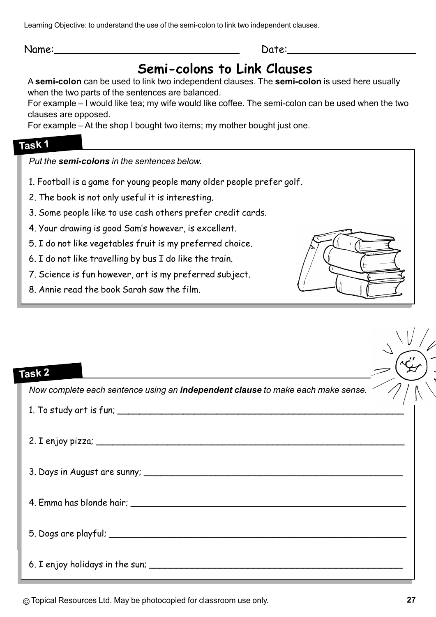Learning Objective: to understand the use of the semi-colon to link two independent clauses.

Name: Date:

# **Semi-colons to Link Clauses**

A **semi-colon** can be used to link two independent clauses. The **semi-colon** is used here usually when the two parts of the sentences are balanced.

For example – I would like tea; my wife would like coffee. The semi-colon can be used when the two clauses are opposed.

For example – At the shop I bought two items; my mother bought just one.

### **Task 1**

*Put the semi-colons in the sentences below.*

- 1. Football is a game for young people many older people prefer golf.
- 2. The book is not only useful it is interesting.
- 3. Some people like to use cash others prefer credit cards.
- 4. Your drawing is good Sam's however, is excellent.
- 5. I do not like vegetables fruit is my preferred choice.
- 6. I do not like travelling by bus I do like the train.
- 7. Science is fun however, art is my preferred subject.
- 8. Annie read the book Sarah saw the film.



| Task 2                                                                          |
|---------------------------------------------------------------------------------|
| Now complete each sentence using an independent clause to make each make sense. |
|                                                                                 |
|                                                                                 |
|                                                                                 |
|                                                                                 |
|                                                                                 |
|                                                                                 |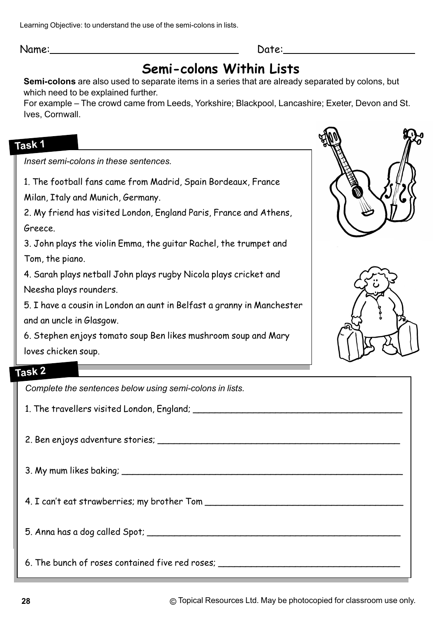Learning Objective: to understand the use of the semi-colons in lists.

Name: Date:

# **Semi-colons Within Lists**

**Semi-colons** are also used to separate items in a series that are already separated by colons, but which need to be explained further.

For example – The crowd came from Leeds, Yorkshire; Blackpool, Lancashire; Exeter, Devon and St. Ives, Cornwall.

### **Task 1**

*Insert semi-colons in these sentences.*

1. The football fans came from Madrid, Spain Bordeaux, France

Milan, Italy and Munich, Germany.

2. My friend has visited London, England Paris, France and Athens, Greece.

3. John plays the violin Emma, the guitar Rachel, the trumpet and Tom, the piano.

4. Sarah plays netball John plays rugby Nicola plays cricket and Neesha plays rounders.

5. I have a cousin in London an aunt in Belfast a granny in Manchester and an uncle in Glasgow.

6. Stephen enjoys tomato soup Ben likes mushroom soup and Mary loves chicken soup.





#### **Task 2**

*Complete the sentences below using semi-colons in lists.*

1. The travellers visited London, England; \_\_\_\_\_\_\_\_\_\_\_\_\_\_\_\_\_\_\_\_\_\_\_\_\_\_\_\_\_\_\_\_\_\_\_\_\_\_

2. Ben enjoys adventure stories; \_\_\_\_\_\_\_\_\_\_\_\_\_\_\_\_\_\_\_\_\_\_\_\_\_\_\_\_\_\_\_\_\_\_\_\_\_\_\_\_\_\_\_\_

3. My mum likes baking; \_\_\_\_\_\_\_\_\_\_\_\_\_\_\_\_\_\_\_\_\_\_\_\_\_\_\_\_\_\_\_\_\_\_\_\_\_\_\_\_\_\_\_\_\_\_\_\_\_\_\_

4. I can't eat strawberries; my brother Tom **with any official contract of the strange of the strange of the strange of the strange of the strange of the strange of the strange of the strange of the strange of the strange** 

5. Anna has a dog called Spot; \_\_\_\_\_\_\_\_\_\_\_\_\_\_\_\_\_\_\_\_\_\_\_\_\_\_\_\_\_\_\_\_\_\_\_\_\_\_\_\_\_\_\_\_\_\_

6. The bunch of roses contained five red roses; \_\_\_\_\_\_\_\_\_\_\_\_\_\_\_\_\_\_\_\_\_\_\_\_\_\_\_\_\_\_\_\_